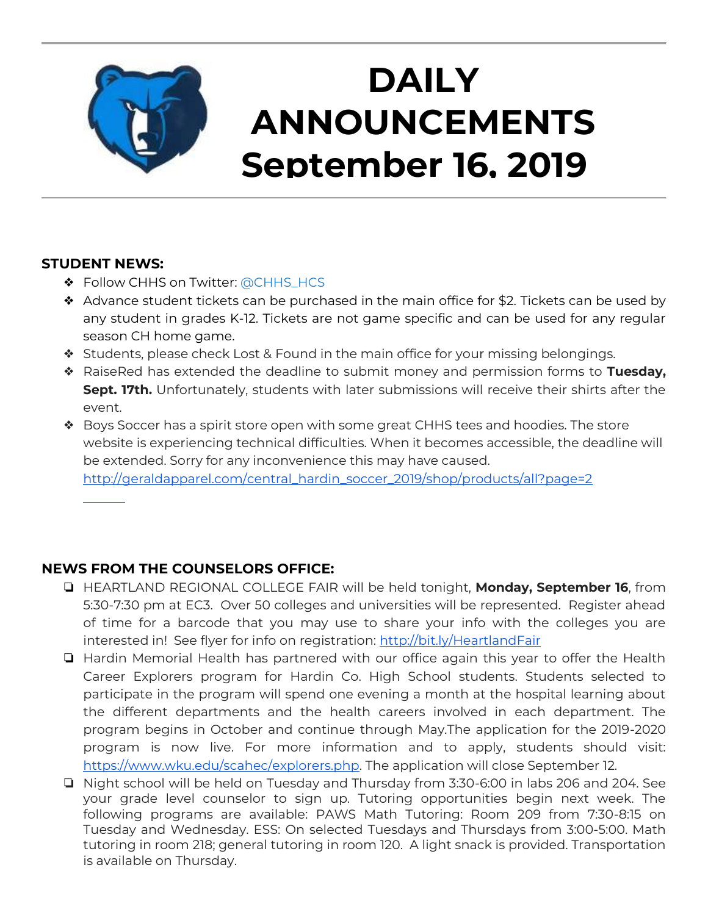

# **DAILY ANNOUNCEMENTS September 16, 2019**

### **STUDENT NEWS:**

- ❖ Follow CHHS on Twitter: [@CHHS\\_HCS](https://twitter.com/CHHS_HCS)
- ❖ Advance student tickets can be purchased in the main office for \$2. Tickets can be used by any student in grades K-12. Tickets are not game specific and can be used for any regular season CH home game.
- ❖ Students, please check Lost & Found in the main office for your missing belongings.
- ❖ RaiseRed has extended the deadline to submit money and permission forms to **Tuesday, Sept. 17th.** Unfortunately, students with later submissions will receive their shirts after the event.
- ❖ Boys Soccer has a spirit store open with some great CHHS tees and hoodies. The store website is experiencing technical difficulties. When it becomes accessible, the deadline will be extended. Sorry for any inconvenience this may have caused. [http://geraldapparel.com/central\\_hardin\\_soccer\\_2019/shop/products/all?page=2](http://geraldapparel.com/central_hardin_soccer_2019/shop/products/all?page=2)

### **NEWS FROM THE COUNSELORS OFFICE:**

- ❏ HEARTLAND REGIONAL COLLEGE FAIR will be held tonight, **Monday, September 16**, from 5:30-7:30 pm at EC3. Over 50 colleges and universities will be represented. Register ahead of time for a barcode that you may use to share your info with the colleges you are interested in! See flyer for info on registration:<http://bit.ly/HeartlandFair>
- ❏ Hardin Memorial Health has partnered with our office again this year to offer the Health Career Explorers program for Hardin Co. High School students. Students selected to participate in the program will spend one evening a month at the hospital learning about the different departments and the health careers involved in each department. The program begins in October and continue through May.The application for the 2019-2020 program is now live. For more information and to apply, students should visit: [https://www.wku.edu/scahec/explorers.php.](https://www.wku.edu/scahec/explorers.php) The application will close September 12.
- ❏ Night school will be held on Tuesday and Thursday from 3:30-6:00 in labs 206 and 204. See your grade level counselor to sign up. Tutoring opportunities begin next week. The following programs are available: PAWS Math Tutoring: Room 209 from 7:30-8:15 on Tuesday and Wednesday. ESS: On selected Tuesdays and Thursdays from 3:00-5:00. Math tutoring in room 218; general tutoring in room 120. A light snack is provided. Transportation is available on Thursday.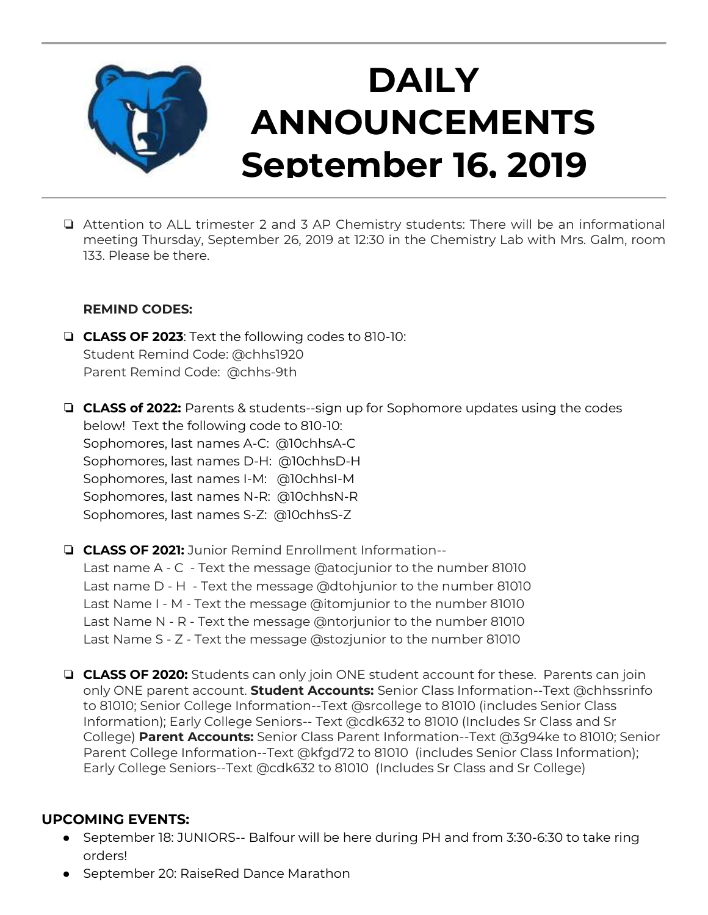

# **DAILY ANNOUNCEMENTS September 16, 2019**

❏ Attention to ALL trimester 2 and 3 AP Chemistry students: There will be an informational meeting Thursday, September 26, 2019 at 12:30 in the Chemistry Lab with Mrs. Galm, room 133. Please be there.

#### **REMIND CODES:**

- ❏ **CLASS OF 2023**: Text the following codes to 810-10: Student Remind Code: @chhs1920 Parent Remind Code: @chhs-9th
- ❏ **CLASS of 2022:** Parents & students--sign up for Sophomore updates using the codes below! Text the following code to 810-10: Sophomores, last names A-C: @10chhsA-C Sophomores, last names D-H: @10chhsD-H Sophomores, last names I-M: @10chhsI-M Sophomores, last names N-R: @10chhsN-R Sophomores, last names S-Z: @10chhsS-Z
- ❏ **CLASS OF 2021:** Junior Remind Enrollment Information-- Last name A - C - Text the message @atocjunior to the number 81010 Last name D - H - Text the message @dtohjunior to the number 81010 Last Name I - M - Text the message @itomjunior to the number 81010 Last Name N - R - Text the message @ntorjunior to the number 81010 Last Name S - Z - Text the message @stozjunior to the number 81010
- ❏ **CLASS OF 2020:** Students can only join ONE student account for these. Parents can join only ONE parent account. **Student Accounts:** Senior Class Information--Text @chhssrinfo to 81010; Senior College Information--Text @srcollege to 81010 (includes Senior Class Information); Early College Seniors-- Text @cdk632 to 81010 (Includes Sr Class and Sr College) **Parent Accounts:** Senior Class Parent Information--Text @3g94ke to 81010; Senior Parent College Information--Text @kfgd72 to 81010 (includes Senior Class Information); Early College Seniors--Text @cdk632 to 81010 (Includes Sr Class and Sr College)

#### **UPCOMING EVENTS:**

- September 18: JUNIORS-- Balfour will be here during PH and from 3:30-6:30 to take ring orders!
- September 20: RaiseRed Dance Marathon